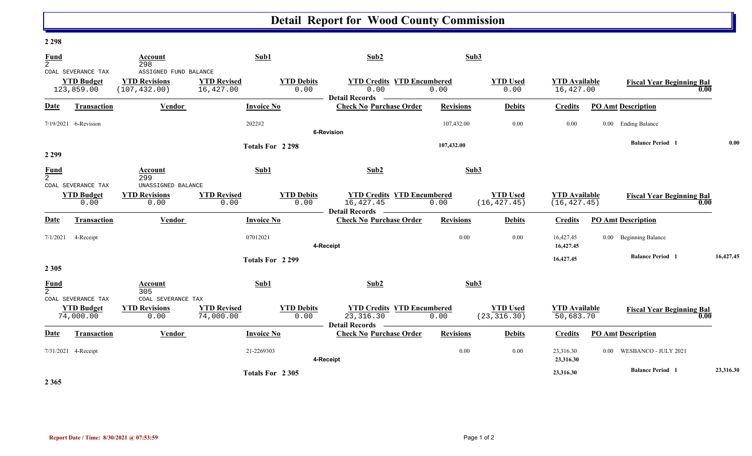## **Detail Report for Wood County Commission**

## **2 298**

| <b>Fund</b><br>$\overline{2}$ |                      | <b>Account</b><br>298     | Sub1               |                   | Sub2                                                                                         | Sub3             |                 |                      |  |                                  |      |           |
|-------------------------------|----------------------|---------------------------|--------------------|-------------------|----------------------------------------------------------------------------------------------|------------------|-----------------|----------------------|--|----------------------------------|------|-----------|
|                               | COAL SEVERANCE TAX   | ASSIGNED FUND BALANCE     |                    |                   |                                                                                              |                  |                 |                      |  |                                  |      |           |
| <b>YTD Budget</b>             |                      | <b>YTD Revisions</b>      | <b>YTD Revised</b> | <b>YTD Debits</b> | <b>YTD Credits YTD Encumbered</b>                                                            |                  | <b>YTD Used</b> | <b>YTD</b> Available |  | <b>Fiscal Year Beginning Bal</b> |      |           |
|                               | 123,859.00           | (107, 432.00)             | 16,427.00          | 0.00              | 0.00                                                                                         | 0.00             | 0.00            | 16,427.00            |  |                                  | 0.00 |           |
|                               |                      |                           |                    |                   | <b>Detail Records</b>                                                                        |                  |                 |                      |  |                                  |      |           |
| <b>Date</b>                   | <b>Transaction</b>   | <b>Vendor</b>             |                    | <b>Invoice No</b> | <b>Check No Purchase Order</b>                                                               | <b>Revisions</b> | <b>Debits</b>   | <b>Credits</b>       |  | <b>PO Amt Description</b>        |      |           |
|                               | 7/19/2021 6-Revision |                           | 2022#2             |                   |                                                                                              | 107,432.00       | 0.00            | 0.00                 |  | 0.00 Ending Balance              |      |           |
|                               |                      | Totals For 2298           |                    |                   | 6-Revision<br>107,432.00                                                                     |                  |                 |                      |  |                                  |      |           |
|                               |                      |                           |                    |                   |                                                                                              |                  |                 |                      |  | <b>Balance Period</b> 1          |      | 0.00      |
| 2 2 9 9                       |                      |                           |                    |                   |                                                                                              |                  |                 |                      |  |                                  |      |           |
|                               |                      |                           |                    |                   |                                                                                              |                  |                 |                      |  |                                  |      |           |
| $\frac{Fund}{2}$              |                      | Account<br>299            |                    | Sub1              | Sub2                                                                                         | Sub3             |                 |                      |  |                                  |      |           |
|                               | COAL SEVERANCE TAX   | UNASSIGNED BALANCE        |                    |                   |                                                                                              |                  |                 |                      |  |                                  |      |           |
|                               | <b>YTD Budget</b>    | <b>YTD Revisions</b>      | <b>YTD Revised</b> | <b>YTD Debits</b> | <b>YTD Credits YTD Encumbered</b>                                                            |                  | <b>YTD Used</b> | <b>YTD</b> Available |  | <b>Fiscal Year Beginning Bal</b> |      |           |
|                               | 0.00                 | 0.00                      | 0.00               | 0.00              | 16,427.45<br>Detail Records –                                                                | 0.00             | (16, 427.45)    | (16, 427.45)         |  |                                  | 0.00 |           |
| <b>Date</b>                   | Transaction          | Vendor                    |                    | <b>Invoice No</b> | <b>Check No Purchase Order</b>                                                               | <b>Revisions</b> | <b>Debits</b>   | <b>Credits</b>       |  | <b>PO Amt Description</b>        |      |           |
|                               |                      |                           | 07012021           |                   |                                                                                              | 0.00             | 0.00            | 16,427.45            |  | 0.00 Beginning Balance           |      |           |
| 7/1/2021<br>4-Receipt         |                      |                           |                    |                   | 4-Receipt                                                                                    |                  |                 | 16,427.45            |  |                                  |      |           |
|                               |                      |                           |                    |                   |                                                                                              |                  |                 | 16,427.45            |  | <b>Balance Period</b> 1          |      | 16,427.45 |
| 2 3 0 5                       |                      |                           |                    | Totals For 2299   |                                                                                              |                  |                 |                      |  |                                  |      |           |
|                               |                      |                           |                    |                   |                                                                                              |                  |                 |                      |  |                                  |      |           |
| $\frac{Fund}{2}$              |                      | Account                   |                    | Sub1              | Sub2                                                                                         | Sub3             |                 |                      |  |                                  |      |           |
|                               | COAL SEVERANCE TAX   | 305<br>COAL SEVERANCE TAX |                    |                   |                                                                                              |                  |                 |                      |  |                                  |      |           |
|                               | <b>YTD Budget</b>    | <b>YTD Revisions</b>      | <b>YTD Revised</b> | <b>YTD Debits</b> | <b>YTD Credits YTD Encumbered</b>                                                            |                  | <b>YTD Used</b> | <b>YTD Available</b> |  | <b>Fiscal Year Beginning Bal</b> |      |           |
|                               | 74,000.00            | 0.00                      | 74,000.00          | 0.00              | 23, 316.30                                                                                   | 0.00             | (23, 316.30)    | 50,683.70            |  |                                  | 0.00 |           |
| <u>Date</u>                   | <b>Transaction</b>   | Vendor                    |                    | <b>Invoice No</b> | <b>Detail Records</b><br><b>Contract Contract Contract</b><br><b>Check No Purchase Order</b> | <b>Revisions</b> | <b>Debits</b>   | <b>Credits</b>       |  | <b>PO Amt Description</b>        |      |           |
|                               |                      |                           |                    |                   |                                                                                              | 0.00             | 0.00            | 23,316.30            |  | 0.00 WESBANCO - JULY 2021        |      |           |
| 7/31/2021 4-Receipt           |                      | 21-2269303<br>4-Receipt   |                    |                   |                                                                                              |                  |                 | 23,316.30            |  |                                  |      |           |
|                               |                      |                           |                    |                   |                                                                                              |                  |                 |                      |  | <b>Balance Period</b> 1          |      | 23,316.30 |
|                               |                      |                           |                    | Totals For 2305   |                                                                                              |                  |                 | 23,316.30            |  |                                  |      |           |

**2 365**